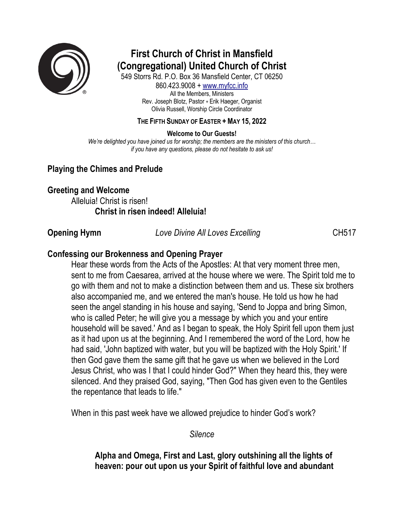

# **First Church of Christ in Mansfield (Congregational) United Church of Christ**

549 Storrs Rd. P.O. Box 36 Mansfield Center, CT 06250 860.423.9008 + www.myfcc.info All the Members, Ministers Rev. Joseph Blotz, Pastor + Erik Haeger, Organist Olivia Russell, Worship Circle Coordinator

#### **THE FIFTH SUNDAY OF EASTER + MAY 15, 2022**

**Welcome to Our Guests!**

*We're delighted you have joined us for worship; the members are the ministers of this church… if you have any questions, please do not hesitate to ask us!*

# **Playing the Chimes and Prelude**

#### **Greeting and Welcome**

Alleluia! Christ is risen! **Christ in risen indeed! Alleluia!**

**Opening Hymn** *Love Divine All Loves Excelling* CH517

## **Confessing our Brokenness and Opening Prayer**

Hear these words from the Acts of the Apostles: At that very moment three men, sent to me from Caesarea, arrived at the house where we were. The Spirit told me to go with them and not to make a distinction between them and us. These six brothers also accompanied me, and we entered the man's house. He told us how he had seen the angel standing in his house and saying, 'Send to Joppa and bring Simon, who is called Peter; he will give you a message by which you and your entire household will be saved.' And as I began to speak, the Holy Spirit fell upon them just as it had upon us at the beginning. And I remembered the word of the Lord, how he had said, 'John baptized with water, but you will be baptized with the Holy Spirit.' If then God gave them the same gift that he gave us when we believed in the Lord Jesus Christ, who was I that I could hinder God?" When they heard this, they were silenced. And they praised God, saying, "Then God has given even to the Gentiles the repentance that leads to life."

When in this past week have we allowed prejudice to hinder God's work?

*Silence*

**Alpha and Omega, First and Last, glory outshining all the lights of heaven: pour out upon us your Spirit of faithful love and abundant**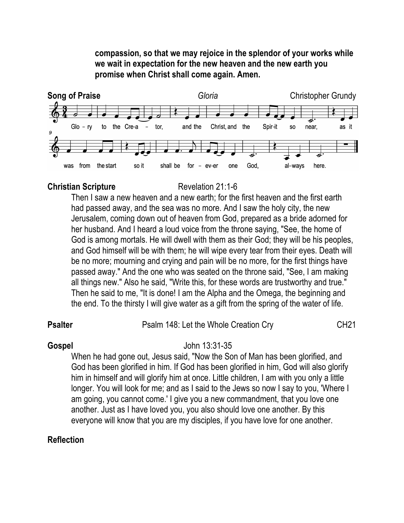**compassion, so that we may rejoice in the splendor of your works while we wait in expectation for the new heaven and the new earth you promise when Christ shall come again. Amen.**



### **Christian Scripture** Revelation 21:1-6

Then I saw a new heaven and a new earth; for the first heaven and the first earth had passed away, and the sea was no more. And I saw the holy city, the new Jerusalem, coming down out of heaven from God, prepared as a bride adorned for her husband. And I heard a loud voice from the throne saying, "See, the home of God is among mortals. He will dwell with them as their God; they will be his peoples, and God himself will be with them; he will wipe every tear from their eyes. Death will be no more; mourning and crying and pain will be no more, for the first things have passed away." And the one who was seated on the throne said, "See, I am making all things new." Also he said, "Write this, for these words are trustworthy and true." Then he said to me, "It is done! I am the Alpha and the Omega, the beginning and the end. To the thirsty I will give water as a gift from the spring of the water of life.

### **Psalter** Psalm 148: Let the Whole Creation Cry CH21

#### **Gospel** John 13:31-35

When he had gone out, Jesus said, "Now the Son of Man has been glorified, and God has been glorified in him. If God has been glorified in him, God will also glorify him in himself and will glorify him at once. Little children, I am with you only a little longer. You will look for me; and as I said to the Jews so now I say to you, 'Where I am going, you cannot come.' I give you a new commandment, that you love one another. Just as I have loved you, you also should love one another. By this everyone will know that you are my disciples, if you have love for one another.

### **Reflection**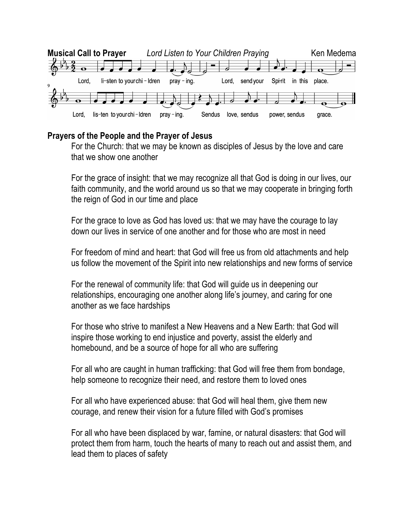

# **Prayers of the People and the Prayer of Jesus**

For the Church: that we may be known as disciples of Jesus by the love and care that we show one another

For the grace of insight: that we may recognize all that God is doing in our lives, our faith community, and the world around us so that we may cooperate in bringing forth the reign of God in our time and place

For the grace to love as God has loved us: that we may have the courage to lay down our lives in service of one another and for those who are most in need

For freedom of mind and heart: that God will free us from old attachments and help us follow the movement of the Spirit into new relationships and new forms of service

For the renewal of community life: that God will guide us in deepening our relationships, encouraging one another along life's journey, and caring for one another as we face hardships

For those who strive to manifest a New Heavens and a New Earth: that God will inspire those working to end injustice and poverty, assist the elderly and homebound, and be a source of hope for all who are suffering

For all who are caught in human trafficking: that God will free them from bondage, help someone to recognize their need, and restore them to loved ones

For all who have experienced abuse: that God will heal them, give them new courage, and renew their vision for a future filled with God's promises

For all who have been displaced by war, famine, or natural disasters: that God will protect them from harm, touch the hearts of many to reach out and assist them, and lead them to places of safety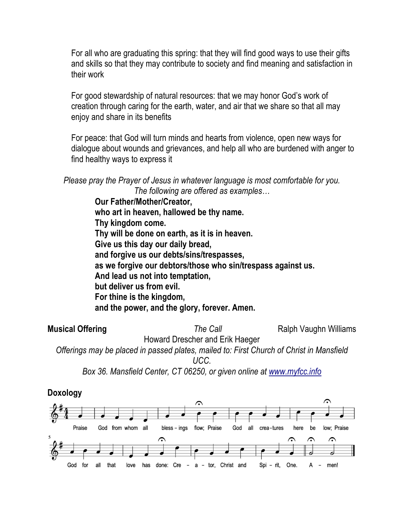For all who are graduating this spring: that they will find good ways to use their gifts and skills so that they may contribute to society and find meaning and satisfaction in their work

For good stewardship of natural resources: that we may honor God's work of creation through caring for the earth, water, and air that we share so that all may enjoy and share in its benefits

For peace: that God will turn minds and hearts from violence, open new ways for dialogue about wounds and grievances, and help all who are burdened with anger to find healthy ways to express it

*Please pray the Prayer of Jesus in whatever language is most comfortable for you. The following are offered as examples…*

> **Our Father/Mother/Creator, who art in heaven, hallowed be thy name. Thy kingdom come. Thy will be done on earth, as it is in heaven. Give us this day our daily bread, and forgive us our debts/sins/trespasses, as we forgive our debtors/those who sin/trespass against us. And lead us not into temptation, but deliver us from evil. For thine is the kingdom, and the power, and the glory, forever. Amen.**

**Musical Offering** *The Call* **Ralph Vaughn Williams** Howard Drescher and Erik Haeger *Offerings may be placed in passed plates, mailed to: First Church of Christ in Mansfield* 

*UCC.* 

*Box 36. Mansfield Center, CT 06250, or given online at www.myfcc.info*